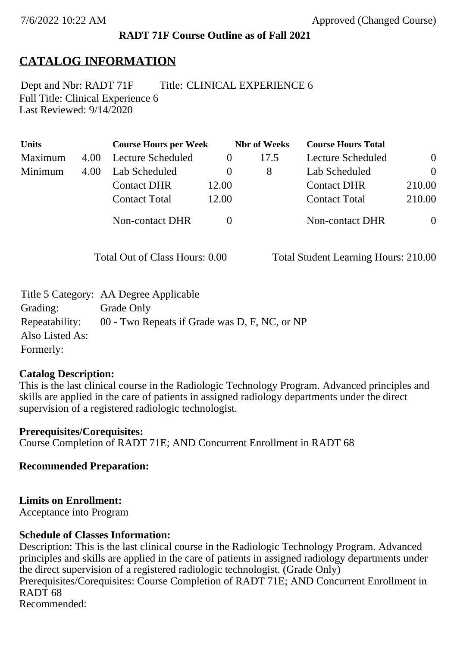### **RADT 71F Course Outline as of Fall 2021**

# **CATALOG INFORMATION**

Full Title: Clinical Experience 6 Last Reviewed: 9/14/2020 Dept and Nbr: RADT 71F Title: CLINICAL EXPERIENCE 6

| <b>Units</b> |      | <b>Course Hours per Week</b> |          | <b>Nbr</b> of Weeks | <b>Course Hours Total</b> |                |
|--------------|------|------------------------------|----------|---------------------|---------------------------|----------------|
| Maximum      | 4.00 | Lecture Scheduled            |          | 17.5                | Lecture Scheduled         | $\overline{0}$ |
| Minimum      | 4.00 | Lab Scheduled                | $\theta$ | 8                   | Lab Scheduled             | $\theta$       |
|              |      | <b>Contact DHR</b>           | 12.00    |                     | <b>Contact DHR</b>        | 210.00         |
|              |      | <b>Contact Total</b>         | 12.00    |                     | <b>Contact Total</b>      | 210.00         |
|              |      | <b>Non-contact DHR</b>       |          |                     | <b>Non-contact DHR</b>    | $\overline{0}$ |

Total Out of Class Hours: 0.00 Total Student Learning Hours: 210.00

|                 | Title 5 Category: AA Degree Applicable        |
|-----------------|-----------------------------------------------|
| Grading:        | Grade Only                                    |
| Repeatability:  | 00 - Two Repeats if Grade was D, F, NC, or NP |
| Also Listed As: |                                               |
| Formerly:       |                                               |

#### **Catalog Description:**

This is the last clinical course in the Radiologic Technology Program. Advanced principles and skills are applied in the care of patients in assigned radiology departments under the direct supervision of a registered radiologic technologist.

**Prerequisites/Corequisites:** Course Completion of RADT 71E; AND Concurrent Enrollment in RADT 68

**Recommended Preparation:**

#### **Limits on Enrollment:**

Acceptance into Program

### **Schedule of Classes Information:**

Description: This is the last clinical course in the Radiologic Technology Program. Advanced principles and skills are applied in the care of patients in assigned radiology departments under the direct supervision of a registered radiologic technologist. (Grade Only) Prerequisites/Corequisites: Course Completion of RADT 71E; AND Concurrent Enrollment in RADT 68 Recommended: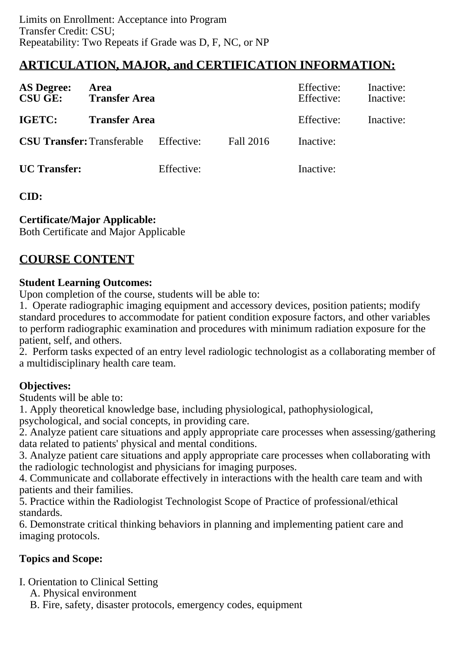# **ARTICULATION, MAJOR, and CERTIFICATION INFORMATION:**

| <b>AS Degree:</b><br><b>CSU GE:</b> | <b>Area</b><br><b>Transfer Area</b> |            |           | Effective:<br>Effective: | Inactive:<br>Inactive: |
|-------------------------------------|-------------------------------------|------------|-----------|--------------------------|------------------------|
| IGETC:                              | <b>Transfer Area</b>                |            |           | Effective:               | Inactive:              |
| <b>CSU Transfer: Transferable</b>   |                                     | Effective: | Fall 2016 | Inactive:                |                        |
| <b>UC</b> Transfer:                 |                                     | Effective: |           | Inactive:                |                        |

# **CID:**

# **Certificate/Major Applicable:**

[Both Certificate and Major Applicable](SR_ClassCheck.aspx?CourseKey=RADT71F)

# **COURSE CONTENT**

### **Student Learning Outcomes:**

Upon completion of the course, students will be able to:

1. Operate radiographic imaging equipment and accessory devices, position patients; modify standard procedures to accommodate for patient condition exposure factors, and other variables to perform radiographic examination and procedures with minimum radiation exposure for the patient, self, and others.

2. Perform tasks expected of an entry level radiologic technologist as a collaborating member of a multidisciplinary health care team.

# **Objectives:**

Students will be able to:

1. Apply theoretical knowledge base, including physiological, pathophysiological, psychological, and social concepts, in providing care.

2. Analyze patient care situations and apply appropriate care processes when assessing/gathering data related to patients' physical and mental conditions.

3. Analyze patient care situations and apply appropriate care processes when collaborating with the radiologic technologist and physicians for imaging purposes.

4. Communicate and collaborate effectively in interactions with the health care team and with patients and their families.

5. Practice within the Radiologist Technologist Scope of Practice of professional/ethical standards.

6. Demonstrate critical thinking behaviors in planning and implementing patient care and imaging protocols.

# **Topics and Scope:**

I. Orientation to Clinical Setting

A. Physical environment

B. Fire, safety, disaster protocols, emergency codes, equipment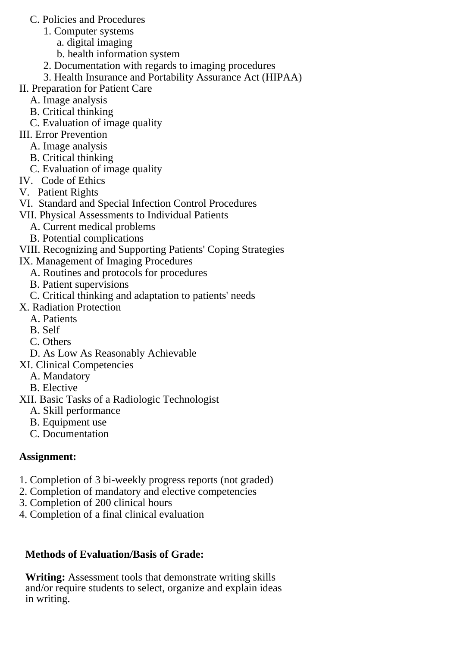- C. Policies and Procedures
	- 1. Computer systems
		- a. digital imaging
		- b. health information system
	- 2. Documentation with regards to imaging procedures
	- 3. Health Insurance and Portability Assurance Act (HIPAA)
- II. Preparation for Patient Care
	- A. Image analysis
	- B. Critical thinking
	- C. Evaluation of image quality
- III. Error Prevention
	- A. Image analysis
	- B. Critical thinking
	- C. Evaluation of image quality
- IV. Code of Ethics
- V. Patient Rights
- VI. Standard and Special Infection Control Procedures
- VII. Physical Assessments to Individual Patients
	- A. Current medical problems
	- B. Potential complications
- VIII. Recognizing and Supporting Patients' Coping Strategies
- IX. Management of Imaging Procedures
	- A. Routines and protocols for procedures
	- B. Patient supervisions
	- C. Critical thinking and adaptation to patients' needs
- X. Radiation Protection
	- A. Patients
	- B. Self
	- C. Others
	- D. As Low As Reasonably Achievable

# XI. Clinical Competencies

- A. Mandatory
- B. Elective
- XII. Basic Tasks of a Radiologic Technologist
	- A. Skill performance
	- B. Equipment use
	- C. Documentation

# **Assignment:**

- 1. Completion of 3 bi-weekly progress reports (not graded)
- 2. Completion of mandatory and elective competencies
- 3. Completion of 200 clinical hours
- 4. Completion of a final clinical evaluation

# **Methods of Evaluation/Basis of Grade:**

**Writing:** Assessment tools that demonstrate writing skills and/or require students to select, organize and explain ideas in writing.